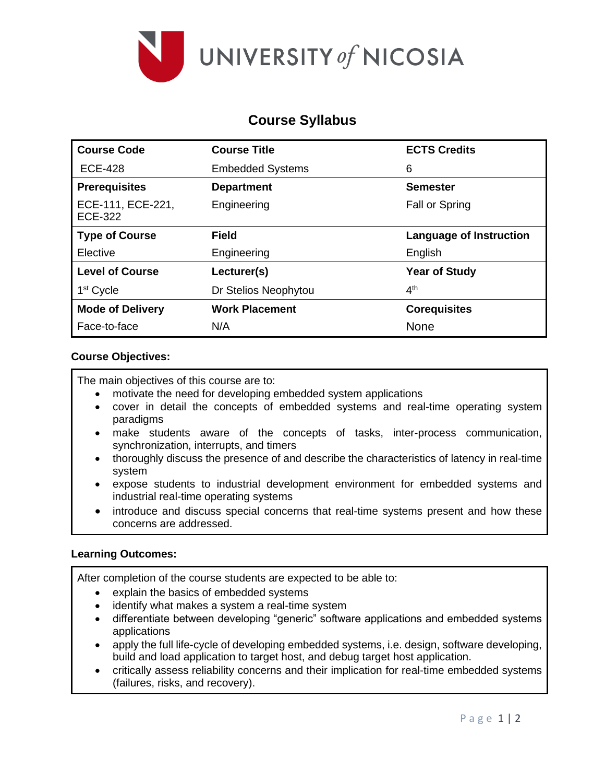

# **Course Syllabus**

| <b>Course Code</b>           | <b>Course Title</b>     | <b>ECTS Credits</b>     |
|------------------------------|-------------------------|-------------------------|
| <b>ECE-428</b>               | <b>Embedded Systems</b> | 6                       |
| <b>Prerequisites</b>         | <b>Department</b>       | <b>Semester</b>         |
| ECE-111, ECE-221,<br>ECE-322 | Engineering             | <b>Fall or Spring</b>   |
| <b>Type of Course</b>        | <b>Field</b>            | Language of Instruction |
| Elective                     | Engineering             | English                 |
| <b>Level of Course</b>       | Lecturer(s)             | <b>Year of Study</b>    |
| 1 <sup>st</sup> Cycle        | Dr Stelios Neophytou    | 4 <sup>th</sup>         |
| <b>Mode of Delivery</b>      | <b>Work Placement</b>   | <b>Corequisites</b>     |
| Face-to-face                 | N/A                     | <b>None</b>             |

# **Course Objectives:**

The main objectives of this course are to:

- motivate the need for developing embedded system applications
- cover in detail the concepts of embedded systems and real-time operating system paradigms
- make students aware of the concepts of tasks, inter-process communication, synchronization, interrupts, and timers
- thoroughly discuss the presence of and describe the characteristics of latency in real-time system
- expose students to industrial development environment for embedded systems and industrial real-time operating systems
- introduce and discuss special concerns that real-time systems present and how these concerns are addressed.

## **Learning Outcomes:**

After completion of the course students are expected to be able to:

- explain the basics of embedded systems
- identify what makes a system a real-time system
- differentiate between developing "generic" software applications and embedded systems applications
- apply the full life-cycle of developing embedded systems, i.e. design, software developing, build and load application to target host, and debug target host application.
- critically assess reliability concerns and their implication for real-time embedded systems (failures, risks, and recovery).